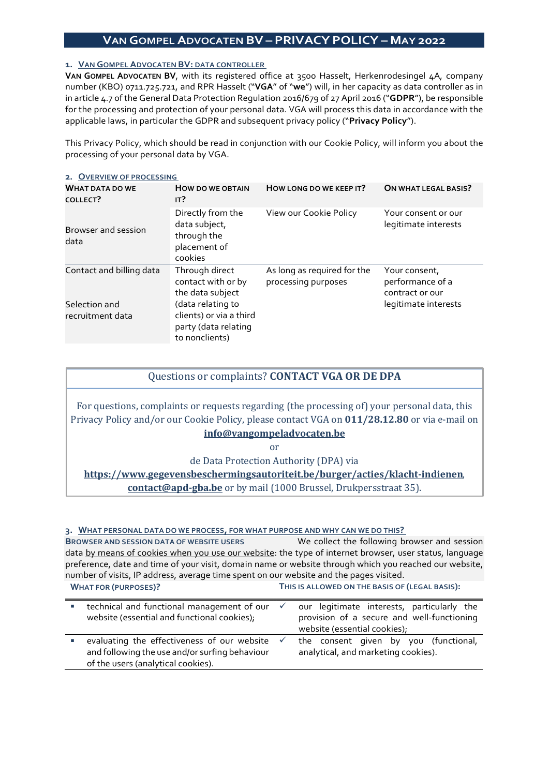# VAN GOMPEL ADVOCATEN BV – PRIVACY POLICY – MAY 2022

### 1. VAN GOMPEL ADVOCATEN BV: DATA CONTROLLER

VAN GOMPEL ADVOCATEN BV, with its registered office at 3500 Hasselt, Herkenrodesingel 4A, company number (KBO) 0711.725.721, and RPR Hasselt ("VGA" of "we") will, in her capacity as data controller as in in article 4.7 of the General Data Protection Regulation 2016/679 of 27 April 2016 ("GDPR"), be responsible for the processing and protection of your personal data. VGA will process this data in accordance with the applicable laws, in particular the GDPR and subsequent privacy policy ("Privacy Policy").

This Privacy Policy, which should be read in conjunction with our Cookie Policy, will inform you about the processing of your personal data by VGA.

| 2. OVERVIEW OF PROCESSING          |                                                                                        |                                                    |                                                      |  |  |  |
|------------------------------------|----------------------------------------------------------------------------------------|----------------------------------------------------|------------------------------------------------------|--|--|--|
| <b>WHAT DATA DO WE</b><br>COLLECT? | <b>HOW DO WE OBTAIN</b><br>IT?                                                         | HOW LONG DO WE KEEP IT?                            | ON WHAT LEGAL BASIS?                                 |  |  |  |
| Browser and session<br>data        | Directly from the<br>data subject,<br>through the<br>placement of<br>cookies           | View our Cookie Policy                             | Your consent or our<br>legitimate interests          |  |  |  |
| Contact and billing data           | Through direct<br>contact with or by<br>the data subject                               | As long as required for the<br>processing purposes | Your consent,<br>performance of a<br>contract or our |  |  |  |
| Selection and<br>recruitment data  | (data relating to<br>clients) or via a third<br>party (data relating<br>to nonclients) |                                                    | legitimate interests                                 |  |  |  |

## Questions or complaints? CONTACT VGA OR DE DPA

For questions, complaints or requests regarding (the processing of) your personal data, this Privacy Policy and/or our Cookie Policy, please contact VGA on 011/28.12.80 or via e-mail on info@vangompeladvocaten.be

or

de Data Protection Authority (DPA) via

https://www.gegevensbeschermingsautoriteit.be/burger/acties/klacht-indienen,

contact@apd-gba.be or by mail (1000 Brussel, Drukpersstraat 35).

#### 3. WHAT PERSONAL DATA DO WE PROCESS, FOR WHAT PURPOSE AND WHY CAN WE DO THIS?

BROWSER AND SESSION DATA OF WEBSITE USERS We collect the following browser and session data by means of cookies when you use our website: the type of internet browser, user status, language preference, date and time of your visit, domain name or website through which you reached our website, number of visits, IP address, average time spent on our website and the pages visited. WHAT FOR (PURPOSES)? THIS IS ALLOWED ON THE BASIS OF (LEGAL BASIS):

| technical and functional management of our $\checkmark$<br>website (essential and functional cookies);                                           | our legitimate interests, particularly the<br>provision of a secure and well-functioning<br>website (essential cookies); |
|--------------------------------------------------------------------------------------------------------------------------------------------------|--------------------------------------------------------------------------------------------------------------------------|
| evaluating the effectiveness of our website $\checkmark$<br>and following the use and/or surfing behaviour<br>of the users (analytical cookies). | the consent given by you (functional,<br>analytical, and marketing cookies).                                             |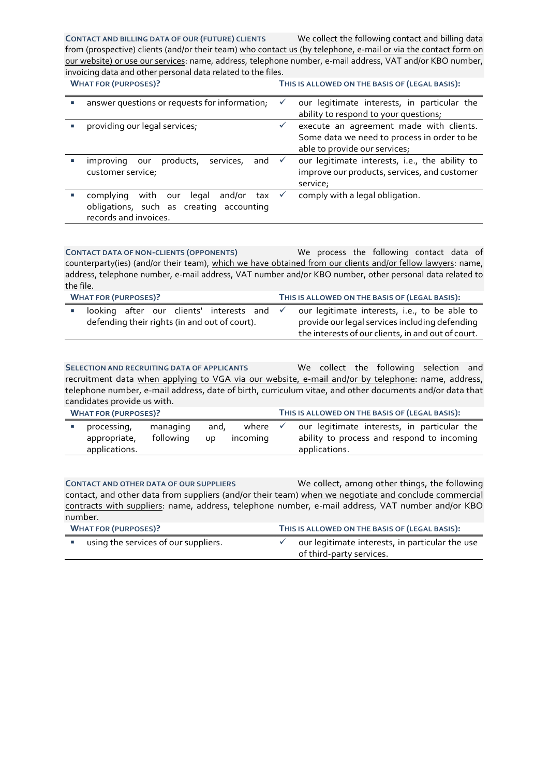#### CONTACT AND BILLING DATA OF OUR (FUTURE) CLIENTS We collect the following contact and billing data

from (prospective) clients (and/or their team) who contact us (by telephone, e-mail or via the contact form on our website) or use our services: name, address, telephone number, e-mail address, VAT and/or KBO number, invoicing data and other personal data related to the files. WHAT FOR (PURPOSES)? THIS IS ALL OWED ON THE BASIS OF (LEGAL BASIS):

| <b>VUMAI FUR (PURPUSES):</b> |                                                                                                                                | <b>I HIS IS ALLOWED ON THE BASIS OF (LEGAL BASIS).</b>                                                                  |
|------------------------------|--------------------------------------------------------------------------------------------------------------------------------|-------------------------------------------------------------------------------------------------------------------------|
|                              | answer questions or requests for information;                                                                                  | our legitimate interests, in particular the<br>ability to respond to your questions;                                    |
|                              | providing our legal services;                                                                                                  | execute an agreement made with clients.<br>Some data we need to process in order to be<br>able to provide our services; |
|                              | products,<br>services,<br>and $\checkmark$<br>improving our<br>customer service,                                               | our legitimate interests, i.e., the ability to<br>improve our products, services, and customer<br>service;              |
|                              | with our<br>and/or tax $\checkmark$<br>complying<br>legal<br>obligations, such as creating accounting<br>records and invoices. | comply with a legal obligation.                                                                                         |

CONTACT DATA OF NON-CLIENTS (OPPONENTS) We process the following contact data of counterparty(ies) (and/or their team), which we have obtained from our clients and/or fellow lawyers: name, address, telephone number, e-mail address, VAT number and/or KBO number, other personal data related to the file.

| <b>WHAT FOR (PURPOSES)?</b> |                                               |  |  |  |                                            | THIS IS ALLOWED ON THE BASIS OF (LEGAL BASIS): |                                                    |  |
|-----------------------------|-----------------------------------------------|--|--|--|--------------------------------------------|------------------------------------------------|----------------------------------------------------|--|
|                             |                                               |  |  |  | looking after our clients' interests and √ |                                                | our legitimate interests, i.e., to be able to      |  |
|                             | defending their rights (in and out of court). |  |  |  |                                            | provide our legal services including defending |                                                    |  |
|                             |                                               |  |  |  |                                            |                                                | the interests of our clients, in and out of court. |  |

SELECTION AND RECRUITING DATA OF APPLICANTS We collect the following selection and recruitment data when applying to VGA via our website, e-mail and/or by telephone: name, address, telephone number, e-mail address, date of birth, curriculum vitae, and other documents and/or data that candidates provide us with.

| <b>WHAT FOR (PURPOSES)?</b> |                                              |                       |             |                   | THIS IS ALLOWED ON THE BASIS OF (LEGAL BASIS):                                                             |  |  |
|-----------------------------|----------------------------------------------|-----------------------|-------------|-------------------|------------------------------------------------------------------------------------------------------------|--|--|
|                             | processing,<br>appropriate,<br>applications. | managing<br>following | and,<br>UD. | where<br>incoming | our legitimate interests, in particular the<br>ability to process and respond to incoming<br>applications. |  |  |

CONTACT AND OTHER DATA OF OUR SUPPLIERS We collect, among other things, the following contact, and other data from suppliers (and/or their team) when we negotiate and conclude commercial contracts with suppliers: name, address, telephone number, e-mail address, VAT number and/or KBO number.

| <b>WHAT FOR (PURPOSES)?</b> |                                      | THIS IS ALLOWED ON THE BASIS OF (LEGAL BASIS): |                                                                             |  |
|-----------------------------|--------------------------------------|------------------------------------------------|-----------------------------------------------------------------------------|--|
|                             | using the services of our suppliers. |                                                | our legitimate interests, in particular the use<br>of third-party services. |  |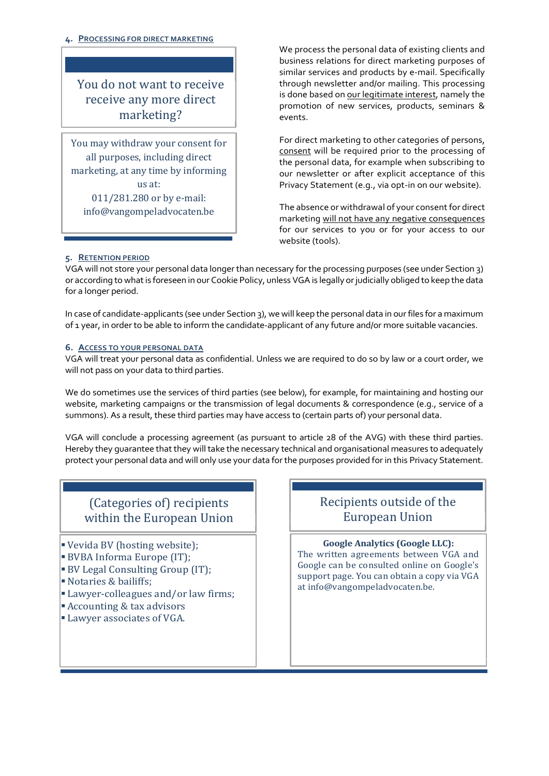#### 4. PROCESSING FOR DIRECT MARKETING

You do not want to receive receive any more direct marketing?

You may withdraw your consent for all purposes, including direct marketing, at any time by informing us at: 011/281.280 or by e-mail: info@vangompeladvocaten.be

 We process the personal data of existing clients and business relations for direct marketing purposes of similar services and products by e-mail. Specifically through newsletter and/or mailing. This processing is done based on our legitimate interest, namely the promotion of new services, products, seminars & events.

For direct marketing to other categories of persons, consent will be required prior to the processing of the personal data, for example when subscribing to our newsletter or after explicit acceptance of this Privacy Statement (e.g., via opt-in on our website).

The absence or withdrawal of your consent for direct marketing will not have any negative consequences for our services to you or for your access to our website (tools).

#### 5. RETENTION PERIOD

VGA will not store your personal data longer than necessary for the processing purposes (see under Section 3) or according to what is foreseen in our Cookie Policy, unless VGA is legally or judicially obliged to keep the data for a longer period.

In case of candidate-applicants (see under Section 3), we will keep the personal data in our files for a maximum of 1 year, in order to be able to inform the candidate-applicant of any future and/or more suitable vacancies.

#### 6. ACCESS TO YOUR PERSONAL DATA

VGA will treat your personal data as confidential. Unless we are required to do so by law or a court order, we will not pass on your data to third parties.

We do sometimes use the services of third parties (see below), for example, for maintaining and hosting our website, marketing campaigns or the transmission of legal documents & correspondence (e.g., service of a summons). As a result, these third parties may have access to (certain parts of) your personal data.

VGA will conclude a processing agreement (as pursuant to article 28 of the AVG) with these third parties. Hereby they guarantee that they will take the necessary technical and organisational measures to adequately protect your personal data and will only use your data for the purposes provided for in this Privacy Statement.

# (Categories of) recipients within the European Union

- Vevida BV (hosting website);
- BVBA Informa Europe (IT);
- BV Legal Consulting Group (IT);
- Notaries & bailiffs;
- Lawyer-colleagues and/or law firms;
- Accounting & tax advisors
- **Lawyer associates of VGA.**

# Recipients outside of the European Union

## Google Analytics (Google LLC):

The written agreements between VGA and Google can be consulted online on Google's support page. You can obtain a copy via VGA at info@vangompeladvocaten.be.